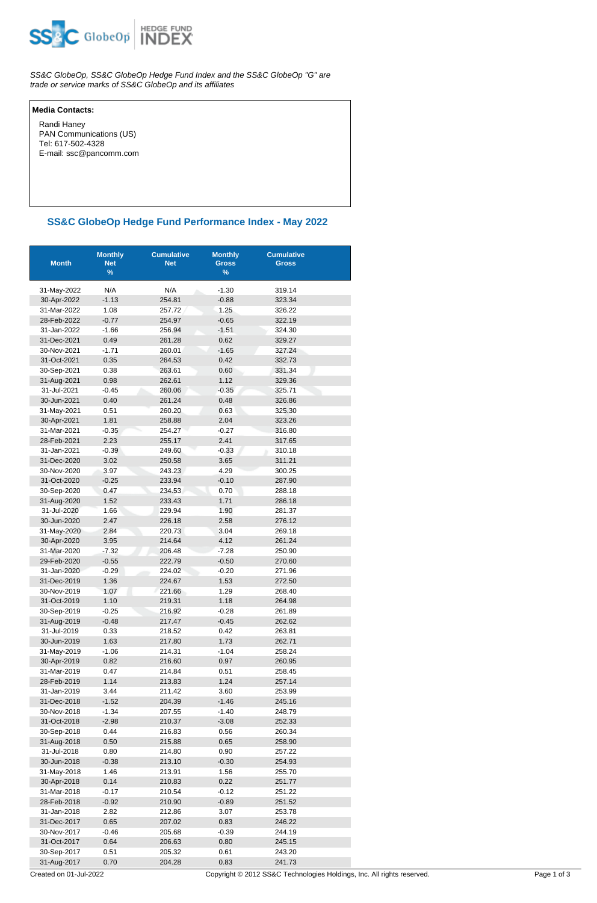

SS&C GlobeOp, SS&C GlobeOp Hedge Fund Index and the SS&C GlobeOp "G" are trade or service marks of SS&C GlobeOp and its affiliates

## **Media Contacts:**

 Randi Haney PAN Communications (US) Tel: 617-502-4328 E-mail: ssc@pancomm.com

## **SS&C GlobeOp Hedge Fund Performance Index - May 2022**

| <b>Month</b>               | <b>Monthly</b><br><b>Net</b><br>% | <b>Cumulative</b><br><b>Net</b> | <b>Monthly</b><br><b>Gross</b><br>$\%$ | <b>Cumulative</b><br><b>Gross</b> |
|----------------------------|-----------------------------------|---------------------------------|----------------------------------------|-----------------------------------|
| 31-May-2022                | N/A                               | N/A                             | $-1.30$                                | 319.14                            |
| 30-Apr-2022                | $-1.13$                           | 254.81                          | $-0.88$                                | 323.34                            |
| 31-Mar-2022                | 1.08                              | 257.72                          | 1.25                                   | 326.22                            |
| 28-Feb-2022                | $-0.77$                           | 254.97                          | $-0.65$                                | 322.19                            |
| 31-Jan-2022                | $-1.66$                           | 256.94                          | $-1.51$                                | 324.30                            |
| 31-Dec-2021                | 0.49                              | 261.28                          | 0.62                                   | 329.27                            |
| 30-Nov-2021                | $-1.71$                           | 260.01                          | $-1.65$                                | 327.24                            |
| 31-Oct-2021                | 0.35                              | 264.53                          | 0.42                                   | 332.73                            |
| 30-Sep-2021                | 0.38                              | 263.61                          | 0.60                                   | 331.34                            |
| 31-Aug-2021                | 0.98                              | 262.61                          | 1.12                                   | 329.36                            |
| 31-Jul-2021                | $-0.45$                           | 260.06                          | $-0.35$                                | 325.71                            |
| 30-Jun-2021                | 0.40                              | 261.24                          | 0.48                                   | 326.86                            |
| 31-May-2021                | 0.51                              | 260.20                          | 0.63                                   | 325.30                            |
| 30-Apr-2021                | 1.81                              | 258.88                          | 2.04                                   | 323.26                            |
| 31-Mar-2021                | $-0.35$                           | 254.27                          | $-0.27$                                | 316.80                            |
| 28-Feb-2021                | 2.23                              | 255.17                          | 2.41                                   | 317.65                            |
| 31-Jan-2021                | $-0.39$                           | 249.60                          | $-0.33$                                | 310.18                            |
| 31-Dec-2020                | 3.02                              | 250.58                          | 3.65                                   | 311.21                            |
| 30-Nov-2020                | 3.97                              | 243.23                          | 4.29                                   | 300.25                            |
| 31-Oct-2020                | $-0.25$                           | 233.94                          | $-0.10$                                | 287.90                            |
| 30-Sep-2020                | 0.47                              | 234.53                          | 0.70                                   | 288.18                            |
| 31-Aug-2020                | 1.52                              | 233.43                          | 1.71                                   | 286.18                            |
| 31-Jul-2020                | 1.66                              | 229.94                          | 1.90                                   | 281.37                            |
| 30-Jun-2020                | 2.47                              | 226.18                          | 2.58                                   | 276.12                            |
| 31-May-2020                | 2.84                              | 220.73                          | 3.04                                   | 269.18                            |
| 30-Apr-2020                | 3.95                              | 214.64                          | 4.12                                   | 261.24                            |
| 31-Mar-2020                | $-7.32$                           | 206.48                          | $-7.28$                                | 250.90                            |
| 29-Feb-2020                | $-0.55$                           | 222.79                          | $-0.50$                                | 270.60                            |
| 31-Jan-2020                | $-0.29$                           | 224.02                          | $-0.20$                                | 271.96                            |
| 31-Dec-2019                | 1.36                              | 224.67                          | 1.53                                   | 272.50                            |
| 30-Nov-2019                | 1.07                              | 221.66                          | 1.29                                   | 268.40                            |
| 31-Oct-2019                | 1.10                              | 219.31                          | 1.18                                   | 264.98                            |
| 30-Sep-2019                | $-0.25$                           | 216.92                          | $-0.28$                                | 261.89                            |
| 31-Aug-2019                | $-0.48$                           | 217.47                          | $-0.45$                                | 262.62                            |
| 31-Jul-2019<br>30-Jun-2019 | 0.33<br>1.63                      | 218.52<br>217.80                | 0.42                                   | 263.81                            |
|                            |                                   |                                 | 1.73                                   | 262.71<br>258.24                  |
| 31-May-2019                | $-1.06$<br>0.82                   | 214.31<br>216.60                | $-1.04$<br>0.97                        | 260.95                            |
| 30-Apr-2019<br>31-Mar-2019 | 0.47                              | 214.84                          | 0.51                                   | 258.45                            |
| 28-Feb-2019                | 1.14                              | 213.83                          | 1.24                                   | 257.14                            |
| 31-Jan-2019                | 3.44                              | 211.42                          | 3.60                                   | 253.99                            |
| 31-Dec-2018                | $-1.52$                           | 204.39                          | $-1.46$                                | 245.16                            |
| 30-Nov-2018                | $-1.34$                           | 207.55                          | $-1.40$                                | 248.79                            |
| 31-Oct-2018                | $-2.98$                           | 210.37                          | $-3.08$                                | 252.33                            |
| 30-Sep-2018                | 0.44                              | 216.83                          | 0.56                                   | 260.34                            |
| 31-Aug-2018                | 0.50                              | 215.88                          | 0.65                                   | 258.90                            |
| 31-Jul-2018                | 0.80                              | 214.80                          | 0.90                                   | 257.22                            |
| 30-Jun-2018                | $-0.38$                           | 213.10                          | $-0.30$                                | 254.93                            |
| 31-May-2018                | 1.46                              | 213.91                          | 1.56                                   | 255.70                            |
| 30-Apr-2018                | 0.14                              | 210.83                          | 0.22                                   | 251.77                            |
| 31-Mar-2018                | $-0.17$                           | 210.54                          | $-0.12$                                | 251.22                            |
| 28-Feb-2018                | $-0.92$                           | 210.90                          | $-0.89$                                | 251.52                            |
| 31-Jan-2018                | 2.82                              | 212.86                          | 3.07                                   | 253.78                            |
| 31-Dec-2017                | 0.65                              | 207.02                          | 0.83                                   | 246.22                            |
| 30-Nov-2017                | $-0.46$                           | 205.68                          | $-0.39$                                | 244.19                            |
| 31-Oct-2017                | 0.64                              | 206.63                          | 0.80                                   | 245.15                            |
| 30-Sep-2017                | 0.51                              | 205.32                          | 0.61                                   | 243.20                            |
| 31-Aug-2017                | 0.70                              | 204.28                          | 0.83                                   | 241.73                            |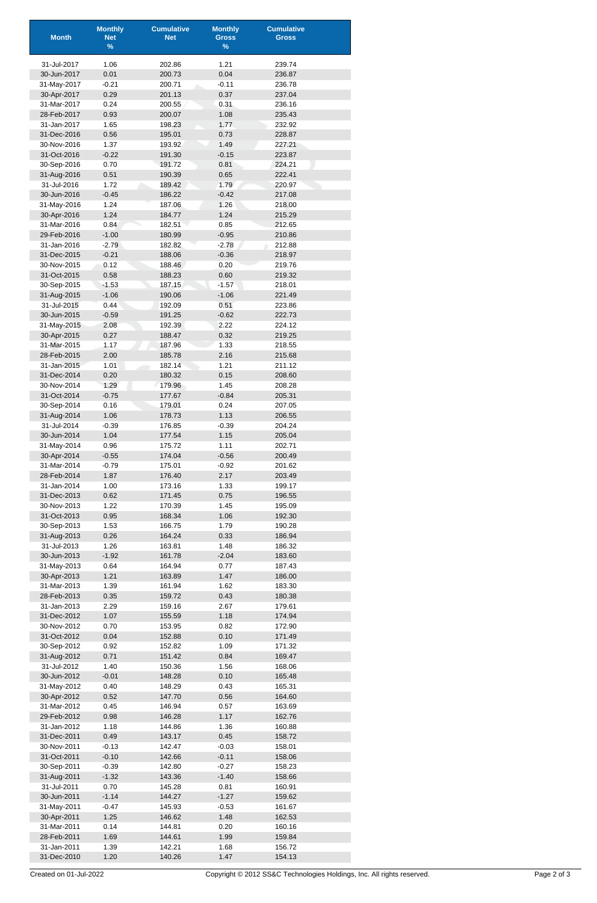| <b>Month</b>               | <b>Monthly</b><br><b>Net</b> | <b>Cumulative</b><br><b>Net</b> | <b>Monthly</b><br><b>Gross</b> | <b>Cumulative</b><br><b>Gross</b> |
|----------------------------|------------------------------|---------------------------------|--------------------------------|-----------------------------------|
|                            | $\%$                         |                                 | $\%$                           |                                   |
| 31-Jul-2017                | 1.06                         | 202.86                          | 1.21                           | 239.74                            |
| 30-Jun-2017                | 0.01                         | 200.73                          | 0.04                           | 236.87                            |
| 31-May-2017                | $-0.21$                      | 200.71                          | $-0.11$                        | 236.78                            |
| 30-Apr-2017                | 0.29                         | 201.13                          | 0.37                           | 237.04                            |
| 31-Mar-2017                | 0.24                         | 200.55                          | 0.31                           | 236.16                            |
| 28-Feb-2017<br>31-Jan-2017 | 0.93<br>1.65                 | 200.07<br>198.23                | 1.08<br>1.77                   | 235.43<br>232.92                  |
| 31-Dec-2016                | 0.56                         | 195.01                          | 0.73                           | 228.87                            |
| 30-Nov-2016                | 1.37                         | 193.92                          | 1.49                           | 227.21                            |
| 31-Oct-2016                | $-0.22$                      | 191.30                          | $-0.15$                        | 223.87                            |
| 30-Sep-2016                | 0.70                         | 191.72                          | 0.81                           | 224.21                            |
| 31-Aug-2016                | 0.51                         | 190.39                          | 0.65                           | 222.41                            |
| 31-Jul-2016                | 1.72                         | 189.42                          | 1.79                           | 220.97                            |
| 30-Jun-2016<br>31-May-2016 | $-0.45$<br>1.24              | 186.22<br>187.06                | $-0.42$<br>1.26                | 217.08<br>218.00                  |
| 30-Apr-2016                | 1.24                         | 184.77                          | 1.24                           | 215.29                            |
| 31-Mar-2016                | 0.84                         | 182.51                          | 0.85                           | 212.65                            |
| 29-Feb-2016                | $-1.00$                      | 180.99                          | $-0.95$                        | 210.86                            |
| 31-Jan-2016                | $-2.79$                      | 182.82                          | $-2.78$                        | 212.88                            |
| 31-Dec-2015                | $-0.21$                      | 188.06                          | $-0.36$                        | 218.97                            |
| 30-Nov-2015<br>31-Oct-2015 | 0.12<br>0.58                 | 188.46<br>188.23                | 0.20<br>0.60                   | 219.76<br>219.32                  |
| 30-Sep-2015                | $-1.53$                      | 187.15                          | $-1.57$                        | 218.01                            |
| 31-Aug-2015                | $-1.06$                      | 190.06                          | $-1.06$                        | 221.49                            |
| 31-Jul-2015                | 0.44                         | 192.09                          | 0.51                           | 223.86                            |
| 30-Jun-2015                | $-0.59$                      | 191.25                          | $-0.62$                        | 222.73                            |
| 31-May-2015                | 2.08                         | 192.39                          | 2.22                           | 224.12                            |
| 30-Apr-2015                | 0.27                         | 188.47                          | 0.32                           | 219.25                            |
| 31-Mar-2015<br>28-Feb-2015 | 1.17<br>2.00                 | 187.96<br>185.78                | 1.33<br>2.16                   | 218.55<br>215.68                  |
| 31-Jan-2015                | 1.01                         | 182.14                          | 1.21                           | 211.12                            |
| 31-Dec-2014                | 0.20                         | 180.32                          | 0.15                           | 208.60                            |
| 30-Nov-2014                | 1.29                         | 179.96                          | 1.45                           | 208.28                            |
| 31-Oct-2014                | $-0.75$                      | 177.67                          | $-0.84$                        | 205.31                            |
| 30-Sep-2014                | 0.16                         | 179.01                          | 0.24                           | 207.05                            |
| 31-Aug-2014                | 1.06                         | 178.73                          | 1.13                           | 206.55                            |
| 31-Jul-2014<br>30-Jun-2014 | $-0.39$<br>1.04              | 176.85<br>177.54                | $-0.39$<br>1.15                | 204.24<br>205.04                  |
| 31-May-2014                | 0.96                         | 175.72                          | 1.11                           | 202.71                            |
| 30-Apr-2014                | $-0.55$                      | 174.04                          | $-0.56$                        | 200.49                            |
| 31-Mar-2014                | $-0.79$                      | 175.01                          | $-0.92$                        | 201.62                            |
| 28-Feb-2014                | 1.87                         | 176.40                          | 2.17                           | 203.49                            |
| 31-Jan-2014                | 1.00                         | 173.16                          | 1.33                           | 199.17                            |
| 31-Dec-2013<br>30-Nov-2013 | 0.62                         | 171.45                          | 0.75<br>1.45                   | 196.55                            |
| 31-Oct-2013                | 1.22<br>0.95                 | 170.39<br>168.34                | 1.06                           | 195.09<br>192.30                  |
| 30-Sep-2013                | 1.53                         | 166.75                          | 1.79                           | 190.28                            |
| 31-Aug-2013                | 0.26                         | 164.24                          | 0.33                           | 186.94                            |
| 31-Jul-2013                | 1.26                         | 163.81                          | 1.48                           | 186.32                            |
| 30-Jun-2013                | $-1.92$                      | 161.78                          | $-2.04$                        | 183.60                            |
| 31-May-2013                | 0.64                         | 164.94                          | 0.77                           | 187.43                            |
| 30-Apr-2013<br>31-Mar-2013 | 1.21<br>1.39                 | 163.89<br>161.94                | 1.47                           | 186.00<br>183.30                  |
| 28-Feb-2013                | 0.35                         | 159.72                          | 1.62<br>0.43                   | 180.38                            |
| 31-Jan-2013                | 2.29                         | 159.16                          | 2.67                           | 179.61                            |
| 31-Dec-2012                | 1.07                         | 155.59                          | 1.18                           | 174.94                            |
| 30-Nov-2012                | 0.70                         | 153.95                          | 0.82                           | 172.90                            |
| 31-Oct-2012                | 0.04                         | 152.88                          | 0.10                           | 171.49                            |
| 30-Sep-2012                | 0.92                         | 152.82                          | 1.09                           | 171.32                            |
| 31-Aug-2012<br>31-Jul-2012 | 0.71<br>1.40                 | 151.42<br>150.36                | 0.84<br>1.56                   | 169.47<br>168.06                  |
| 30-Jun-2012                | $-0.01$                      | 148.28                          | 0.10                           | 165.48                            |
| 31-May-2012                | 0.40                         | 148.29                          | 0.43                           | 165.31                            |
| 30-Apr-2012                | 0.52                         | 147.70                          | 0.56                           | 164.60                            |
| 31-Mar-2012                | 0.45                         | 146.94                          | 0.57                           | 163.69                            |
| 29-Feb-2012                | 0.98                         | 146.28                          | 1.17                           | 162.76                            |
| 31-Jan-2012                | 1.18                         | 144.86                          | 1.36                           | 160.88                            |
| 31-Dec-2011<br>30-Nov-2011 | 0.49<br>$-0.13$              | 143.17<br>142.47                | 0.45<br>$-0.03$                | 158.72<br>158.01                  |
| 31-Oct-2011                | $-0.10$                      | 142.66                          | $-0.11$                        | 158.06                            |
| 30-Sep-2011                | $-0.39$                      | 142.80                          | $-0.27$                        | 158.23                            |
| 31-Aug-2011                | $-1.32$                      | 143.36                          | $-1.40$                        | 158.66                            |
| 31-Jul-2011                | 0.70                         | 145.28                          | 0.81                           | 160.91                            |
| 30-Jun-2011                | $-1.14$                      | 144.27                          | $-1.27$                        | 159.62                            |
| 31-May-2011                | $-0.47$                      | 145.93                          | $-0.53$                        | 161.67                            |
| 30-Apr-2011<br>31-Mar-2011 | 1.25<br>0.14                 | 146.62<br>144.81                | 1.48<br>0.20                   | 162.53<br>160.16                  |
| 28-Feb-2011                | 1.69                         | 144.61                          | 1.99                           | 159.84                            |
| 31-Jan-2011                | 1.39                         | 142.21                          | 1.68                           | 156.72                            |
| 31-Dec-2010                | 1.20                         | 140.26                          | 1.47                           | 154.13                            |